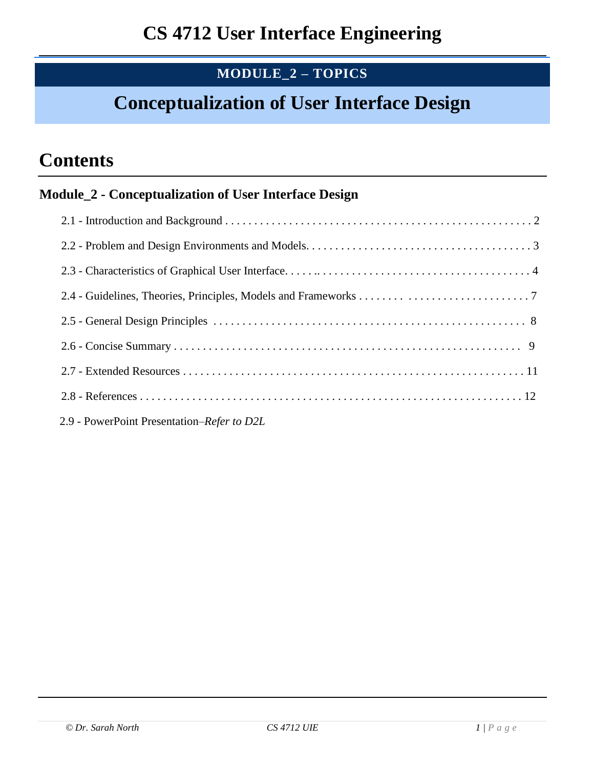## **MODULE\_2 – TOPICS**

# **Conceptualization of User Interface Design**

# **Contents**

### **Module\_2 - Conceptualization of User Interface Design**

2.9 - PowerPoint Presentation–*Refer to D2L*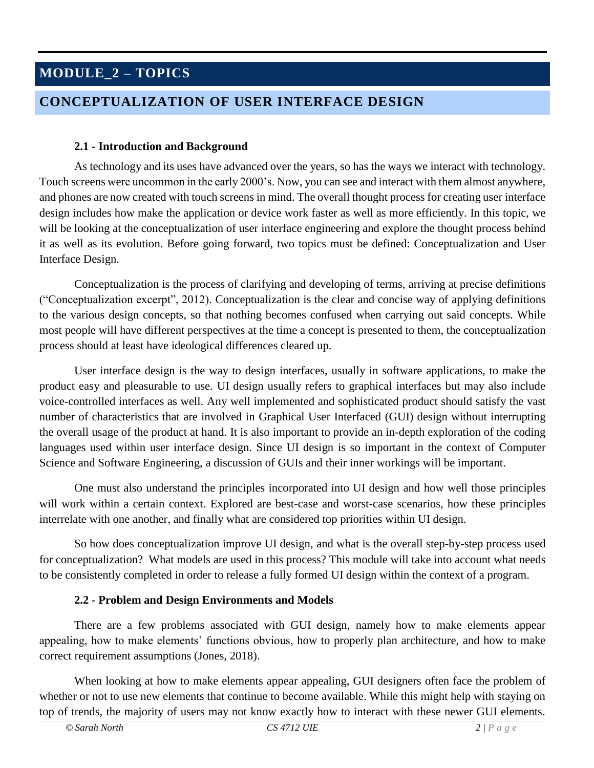## **MODULE\_2 – TOPICS**

### **CONCEPTUALIZATION OF USER INTERFACE DESIGN**

#### **2.1 - Introduction and Background**

As technology and its uses have advanced over the years, so has the ways we interact with technology. Touch screens were uncommon in the early 2000's. Now, you can see and interact with them almost anywhere, and phones are now created with touch screens in mind. The overall thought process for creating user interface design includes how make the application or device work faster as well as more efficiently. In this topic, we will be looking at the conceptualization of user interface engineering and explore the thought process behind it as well as its evolution. Before going forward, two topics must be defined: Conceptualization and User Interface Design.

Conceptualization is the process of clarifying and developing of terms, arriving at precise definitions ("Conceptualization excerpt", 2012). Conceptualization is the clear and concise way of applying definitions to the various design concepts, so that nothing becomes confused when carrying out said concepts. While most people will have different perspectives at the time a concept is presented to them, the conceptualization process should at least have ideological differences cleared up.

User interface design is the way to design interfaces, usually in software applications, to make the product easy and pleasurable to use. UI design usually refers to graphical interfaces but may also include voice-controlled interfaces as well. Any well implemented and sophisticated product should satisfy the vast number of characteristics that are involved in Graphical User Interfaced (GUI) design without interrupting the overall usage of the product at hand. It is also important to provide an in-depth exploration of the coding languages used within user interface design. Since UI design is so important in the context of Computer Science and Software Engineering, a discussion of GUIs and their inner workings will be important.

One must also understand the principles incorporated into UI design and how well those principles will work within a certain context. Explored are best-case and worst-case scenarios, how these principles interrelate with one another, and finally what are considered top priorities within UI design.

So how does conceptualization improve UI design, and what is the overall step-by-step process used for conceptualization? What models are used in this process? This module will take into account what needs to be consistently completed in order to release a fully formed UI design within the context of a program.

#### **2.2 - Problem and Design Environments and Models**

There are a few problems associated with GUI design, namely how to make elements appear appealing, how to make elements' functions obvious, how to properly plan architecture, and how to make correct requirement assumptions (Jones, 2018).

When looking at how to make elements appear appealing, GUI designers often face the problem of whether or not to use new elements that continue to become available. While this might help with staying on top of trends, the majority of users may not know exactly how to interact with these newer GUI elements.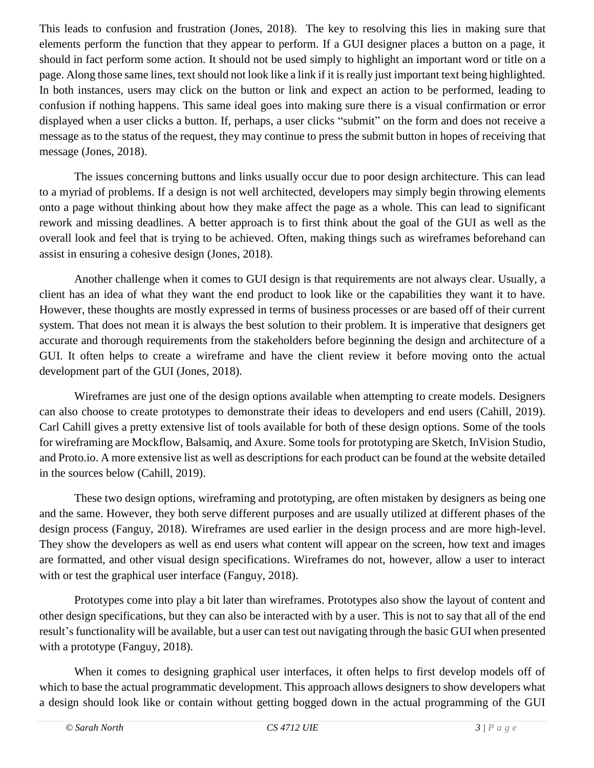This leads to confusion and frustration (Jones, 2018). The key to resolving this lies in making sure that elements perform the function that they appear to perform. If a GUI designer places a button on a page, it should in fact perform some action. It should not be used simply to highlight an important word or title on a page. Along those same lines, text should not look like a link if it is really just important text being highlighted. In both instances, users may click on the button or link and expect an action to be performed, leading to confusion if nothing happens. This same ideal goes into making sure there is a visual confirmation or error displayed when a user clicks a button. If, perhaps, a user clicks "submit" on the form and does not receive a message as to the status of the request, they may continue to press the submit button in hopes of receiving that message (Jones, 2018).

The issues concerning buttons and links usually occur due to poor design architecture. This can lead to a myriad of problems. If a design is not well architected, developers may simply begin throwing elements onto a page without thinking about how they make affect the page as a whole. This can lead to significant rework and missing deadlines. A better approach is to first think about the goal of the GUI as well as the overall look and feel that is trying to be achieved. Often, making things such as wireframes beforehand can assist in ensuring a cohesive design (Jones, 2018).

Another challenge when it comes to GUI design is that requirements are not always clear. Usually, a client has an idea of what they want the end product to look like or the capabilities they want it to have. However, these thoughts are mostly expressed in terms of business processes or are based off of their current system. That does not mean it is always the best solution to their problem. It is imperative that designers get accurate and thorough requirements from the stakeholders before beginning the design and architecture of a GUI. It often helps to create a wireframe and have the client review it before moving onto the actual development part of the GUI (Jones, 2018).

Wireframes are just one of the design options available when attempting to create models. Designers can also choose to create prototypes to demonstrate their ideas to developers and end users (Cahill, 2019). Carl Cahill gives a pretty extensive list of tools available for both of these design options. Some of the tools for wireframing are Mockflow, Balsamiq, and Axure. Some tools for prototyping are Sketch, InVision Studio, and Proto.io. A more extensive list as well as descriptions for each product can be found at the website detailed in the sources below (Cahill, 2019).

These two design options, wireframing and prototyping, are often mistaken by designers as being one and the same. However, they both serve different purposes and are usually utilized at different phases of the design process (Fanguy, 2018). Wireframes are used earlier in the design process and are more high-level. They show the developers as well as end users what content will appear on the screen, how text and images are formatted, and other visual design specifications. Wireframes do not, however, allow a user to interact with or test the graphical user interface (Fanguy, 2018).

Prototypes come into play a bit later than wireframes. Prototypes also show the layout of content and other design specifications, but they can also be interacted with by a user. This is not to say that all of the end result's functionality will be available, but a user can test out navigating through the basic GUI when presented with a prototype (Fanguy, 2018).

When it comes to designing graphical user interfaces, it often helps to first develop models off of which to base the actual programmatic development. This approach allows designers to show developers what a design should look like or contain without getting bogged down in the actual programming of the GUI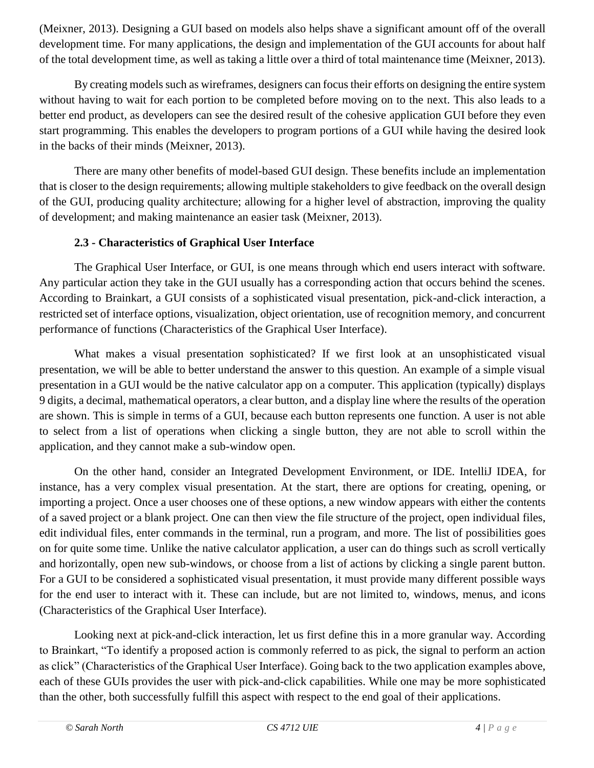(Meixner, 2013). Designing a GUI based on models also helps shave a significant amount off of the overall development time. For many applications, the design and implementation of the GUI accounts for about half of the total development time, as well as taking a little over a third of total maintenance time (Meixner, 2013).

By creating models such as wireframes, designers can focus their efforts on designing the entire system without having to wait for each portion to be completed before moving on to the next. This also leads to a better end product, as developers can see the desired result of the cohesive application GUI before they even start programming. This enables the developers to program portions of a GUI while having the desired look in the backs of their minds (Meixner, 2013).

There are many other benefits of model-based GUI design. These benefits include an implementation that is closer to the design requirements; allowing multiple stakeholders to give feedback on the overall design of the GUI, producing quality architecture; allowing for a higher level of abstraction, improving the quality of development; and making maintenance an easier task (Meixner, 2013).

#### **2.3 - Characteristics of Graphical User Interface**

The Graphical User Interface, or GUI, is one means through which end users interact with software. Any particular action they take in the GUI usually has a corresponding action that occurs behind the scenes. According to Brainkart, a GUI consists of a sophisticated visual presentation, pick-and-click interaction, a restricted set of interface options, visualization, object orientation, use of recognition memory, and concurrent performance of functions (Characteristics of the Graphical User Interface).

What makes a visual presentation sophisticated? If we first look at an unsophisticated visual presentation, we will be able to better understand the answer to this question. An example of a simple visual presentation in a GUI would be the native calculator app on a computer. This application (typically) displays 9 digits, a decimal, mathematical operators, a clear button, and a display line where the results of the operation are shown. This is simple in terms of a GUI, because each button represents one function. A user is not able to select from a list of operations when clicking a single button, they are not able to scroll within the application, and they cannot make a sub-window open.

On the other hand, consider an Integrated Development Environment, or IDE. IntelliJ IDEA, for instance, has a very complex visual presentation. At the start, there are options for creating, opening, or importing a project. Once a user chooses one of these options, a new window appears with either the contents of a saved project or a blank project. One can then view the file structure of the project, open individual files, edit individual files, enter commands in the terminal, run a program, and more. The list of possibilities goes on for quite some time. Unlike the native calculator application, a user can do things such as scroll vertically and horizontally, open new sub-windows, or choose from a list of actions by clicking a single parent button. For a GUI to be considered a sophisticated visual presentation, it must provide many different possible ways for the end user to interact with it. These can include, but are not limited to, windows, menus, and icons (Characteristics of the Graphical User Interface).

Looking next at pick-and-click interaction, let us first define this in a more granular way. According to Brainkart, "To identify a proposed action is commonly referred to as pick, the signal to perform an action as click" (Characteristics of the Graphical User Interface). Going back to the two application examples above, each of these GUIs provides the user with pick-and-click capabilities. While one may be more sophisticated than the other, both successfully fulfill this aspect with respect to the end goal of their applications.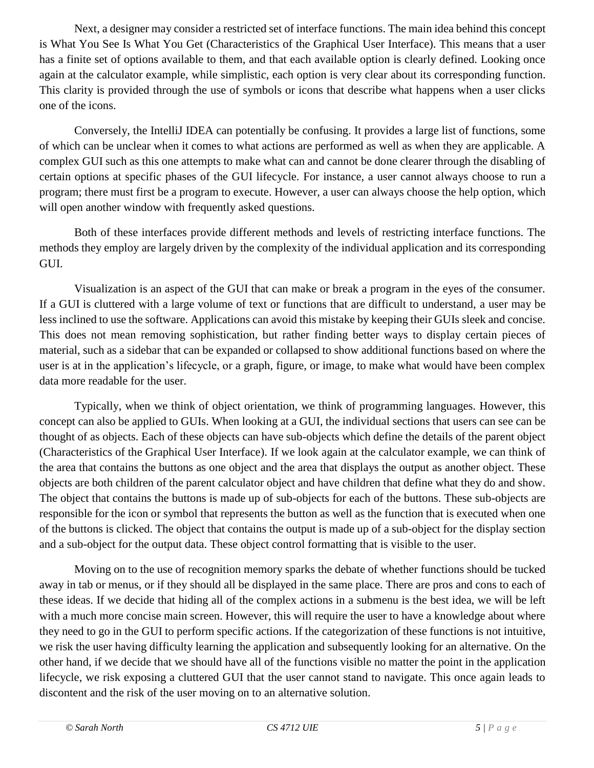Next, a designer may consider a restricted set of interface functions. The main idea behind this concept is What You See Is What You Get (Characteristics of the Graphical User Interface). This means that a user has a finite set of options available to them, and that each available option is clearly defined. Looking once again at the calculator example, while simplistic, each option is very clear about its corresponding function. This clarity is provided through the use of symbols or icons that describe what happens when a user clicks one of the icons.

Conversely, the IntelliJ IDEA can potentially be confusing. It provides a large list of functions, some of which can be unclear when it comes to what actions are performed as well as when they are applicable. A complex GUI such as this one attempts to make what can and cannot be done clearer through the disabling of certain options at specific phases of the GUI lifecycle. For instance, a user cannot always choose to run a program; there must first be a program to execute. However, a user can always choose the help option, which will open another window with frequently asked questions.

Both of these interfaces provide different methods and levels of restricting interface functions. The methods they employ are largely driven by the complexity of the individual application and its corresponding GUI.

Visualization is an aspect of the GUI that can make or break a program in the eyes of the consumer. If a GUI is cluttered with a large volume of text or functions that are difficult to understand, a user may be less inclined to use the software. Applications can avoid this mistake by keeping their GUIs sleek and concise. This does not mean removing sophistication, but rather finding better ways to display certain pieces of material, such as a sidebar that can be expanded or collapsed to show additional functions based on where the user is at in the application's lifecycle, or a graph, figure, or image, to make what would have been complex data more readable for the user.

Typically, when we think of object orientation, we think of programming languages. However, this concept can also be applied to GUIs. When looking at a GUI, the individual sections that users can see can be thought of as objects. Each of these objects can have sub-objects which define the details of the parent object (Characteristics of the Graphical User Interface). If we look again at the calculator example, we can think of the area that contains the buttons as one object and the area that displays the output as another object. These objects are both children of the parent calculator object and have children that define what they do and show. The object that contains the buttons is made up of sub-objects for each of the buttons. These sub-objects are responsible for the icon or symbol that represents the button as well as the function that is executed when one of the buttons is clicked. The object that contains the output is made up of a sub-object for the display section and a sub-object for the output data. These object control formatting that is visible to the user.

Moving on to the use of recognition memory sparks the debate of whether functions should be tucked away in tab or menus, or if they should all be displayed in the same place. There are pros and cons to each of these ideas. If we decide that hiding all of the complex actions in a submenu is the best idea, we will be left with a much more concise main screen. However, this will require the user to have a knowledge about where they need to go in the GUI to perform specific actions. If the categorization of these functions is not intuitive, we risk the user having difficulty learning the application and subsequently looking for an alternative. On the other hand, if we decide that we should have all of the functions visible no matter the point in the application lifecycle, we risk exposing a cluttered GUI that the user cannot stand to navigate. This once again leads to discontent and the risk of the user moving on to an alternative solution.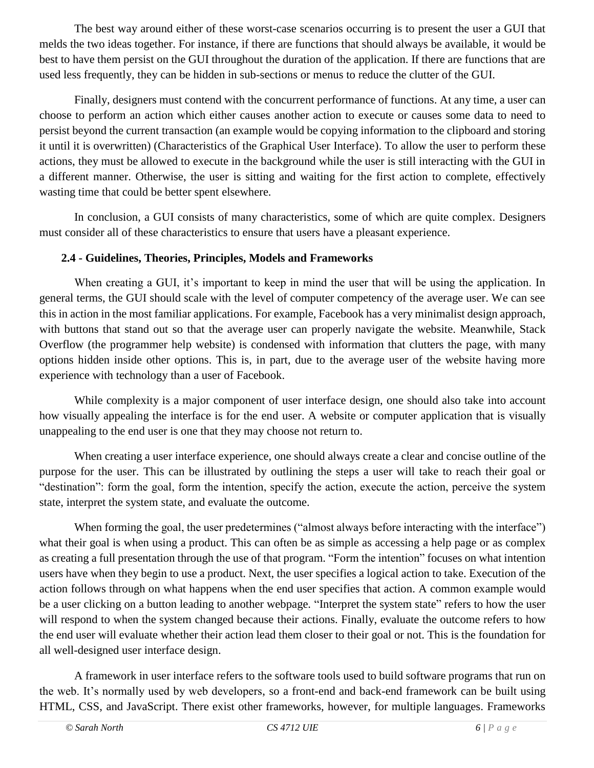The best way around either of these worst-case scenarios occurring is to present the user a GUI that melds the two ideas together. For instance, if there are functions that should always be available, it would be best to have them persist on the GUI throughout the duration of the application. If there are functions that are used less frequently, they can be hidden in sub-sections or menus to reduce the clutter of the GUI.

Finally, designers must contend with the concurrent performance of functions. At any time, a user can choose to perform an action which either causes another action to execute or causes some data to need to persist beyond the current transaction (an example would be copying information to the clipboard and storing it until it is overwritten) (Characteristics of the Graphical User Interface). To allow the user to perform these actions, they must be allowed to execute in the background while the user is still interacting with the GUI in a different manner. Otherwise, the user is sitting and waiting for the first action to complete, effectively wasting time that could be better spent elsewhere.

In conclusion, a GUI consists of many characteristics, some of which are quite complex. Designers must consider all of these characteristics to ensure that users have a pleasant experience.

#### **2.4 - Guidelines, Theories, Principles, Models and Frameworks**

When creating a GUI, it's important to keep in mind the user that will be using the application. In general terms, the GUI should scale with the level of computer competency of the average user. We can see this in action in the most familiar applications. For example, Facebook has a very minimalist design approach, with buttons that stand out so that the average user can properly navigate the website. Meanwhile, Stack Overflow (the programmer help website) is condensed with information that clutters the page, with many options hidden inside other options. This is, in part, due to the average user of the website having more experience with technology than a user of Facebook.

While complexity is a major component of user interface design, one should also take into account how visually appealing the interface is for the end user. A website or computer application that is visually unappealing to the end user is one that they may choose not return to.

When creating a user interface experience, one should always create a clear and concise outline of the purpose for the user. This can be illustrated by outlining the steps a user will take to reach their goal or "destination": form the goal, form the intention, specify the action, execute the action, perceive the system state, interpret the system state, and evaluate the outcome.

When forming the goal, the user predetermines ("almost always before interacting with the interface") what their goal is when using a product. This can often be as simple as accessing a help page or as complex as creating a full presentation through the use of that program. "Form the intention" focuses on what intention users have when they begin to use a product. Next, the user specifies a logical action to take. Execution of the action follows through on what happens when the end user specifies that action. A common example would be a user clicking on a button leading to another webpage. "Interpret the system state" refers to how the user will respond to when the system changed because their actions. Finally, evaluate the outcome refers to how the end user will evaluate whether their action lead them closer to their goal or not. This is the foundation for all well-designed user interface design.

A framework in user interface refers to the software tools used to build software programs that run on the web. It's normally used by web developers, so a front-end and back-end framework can be built using HTML, CSS, and JavaScript. There exist other frameworks, however, for multiple languages. Frameworks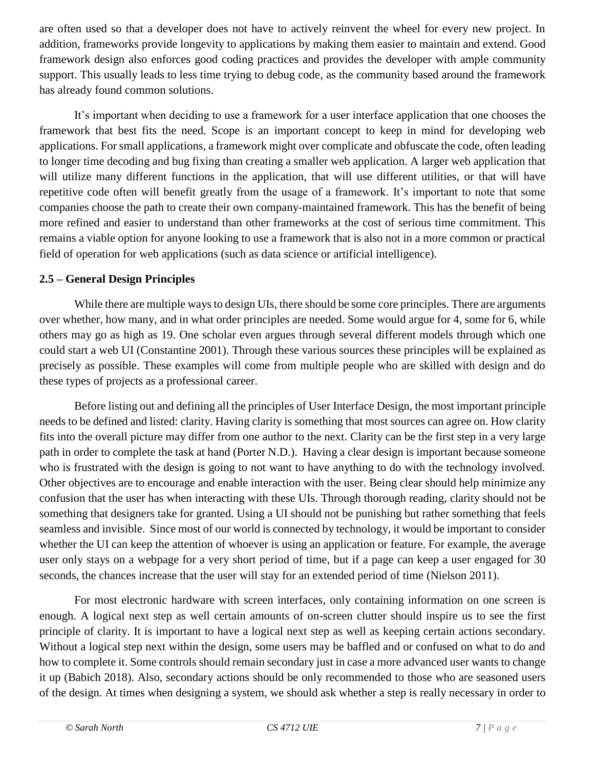are often used so that a developer does not have to actively reinvent the wheel for every new project. In addition, frameworks provide longevity to applications by making them easier to maintain and extend. Good framework design also enforces good coding practices and provides the developer with ample community support. This usually leads to less time trying to debug code, as the community based around the framework has already found common solutions.

It's important when deciding to use a framework for a user interface application that one chooses the framework that best fits the need. Scope is an important concept to keep in mind for developing web applications. For small applications, a framework might over complicate and obfuscate the code, often leading to longer time decoding and bug fixing than creating a smaller web application. A larger web application that will utilize many different functions in the application, that will use different utilities, or that will have repetitive code often will benefit greatly from the usage of a framework. It's important to note that some companies choose the path to create their own company-maintained framework. This has the benefit of being more refined and easier to understand than other frameworks at the cost of serious time commitment. This remains a viable option for anyone looking to use a framework that is also not in a more common or practical field of operation for web applications (such as data science or artificial intelligence).

#### **2.5 – General Design Principles**

While there are multiple ways to design UIs, there should be some core principles. There are arguments over whether, how many, and in what order principles are needed. Some would argue for 4, some for 6, while others may go as high as 19. One scholar even argues through several different models through which one could start a web UI (Constantine 2001). Through these various sources these principles will be explained as precisely as possible. These examples will come from multiple people who are skilled with design and do these types of projects as a professional career.

Before listing out and defining all the principles of User Interface Design, the most important principle needs to be defined and listed: clarity. Having clarity is something that most sources can agree on. How clarity fits into the overall picture may differ from one author to the next. Clarity can be the first step in a very large path in order to complete the task at hand (Porter N.D.). Having a clear design is important because someone who is frustrated with the design is going to not want to have anything to do with the technology involved. Other objectives are to encourage and enable interaction with the user. Being clear should help minimize any confusion that the user has when interacting with these UIs. Through thorough reading, clarity should not be something that designers take for granted. Using a UI should not be punishing but rather something that feels seamless and invisible. Since most of our world is connected by technology, it would be important to consider whether the UI can keep the attention of whoever is using an application or feature. For example, the average user only stays on a webpage for a very short period of time, but if a page can keep a user engaged for 30 seconds, the chances increase that the user will stay for an extended period of time (Nielson 2011).

For most electronic hardware with screen interfaces, only containing information on one screen is enough. A logical next step as well certain amounts of on-screen clutter should inspire us to see the first principle of clarity. It is important to have a logical next step as well as keeping certain actions secondary. Without a logical step next within the design, some users may be baffled and or confused on what to do and how to complete it. Some controls should remain secondary just in case a more advanced user wants to change it up (Babich 2018). Also, secondary actions should be only recommended to those who are seasoned users of the design. At times when designing a system, we should ask whether a step is really necessary in order to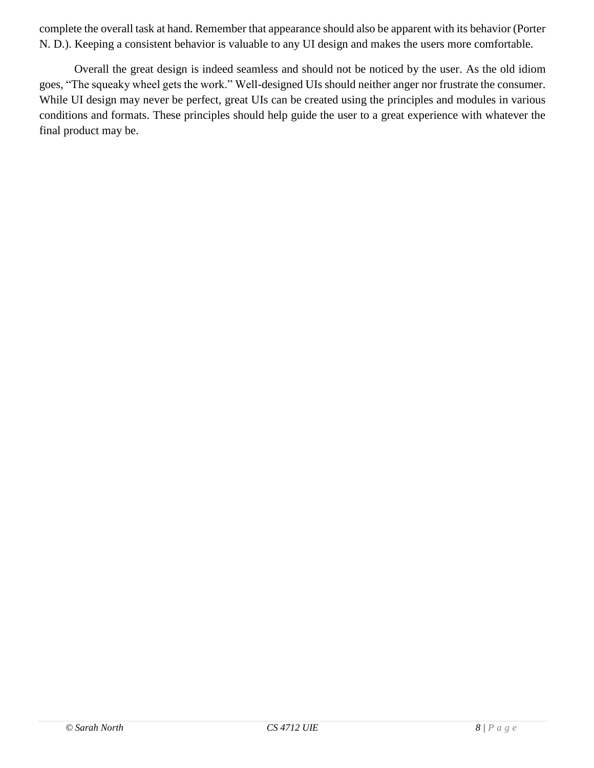complete the overall task at hand. Remember that appearance should also be apparent with its behavior (Porter N. D.). Keeping a consistent behavior is valuable to any UI design and makes the users more comfortable.

Overall the great design is indeed seamless and should not be noticed by the user. As the old idiom goes, "The squeaky wheel gets the work." Well-designed UIs should neither anger nor frustrate the consumer. While UI design may never be perfect, great UIs can be created using the principles and modules in various conditions and formats. These principles should help guide the user to a great experience with whatever the final product may be.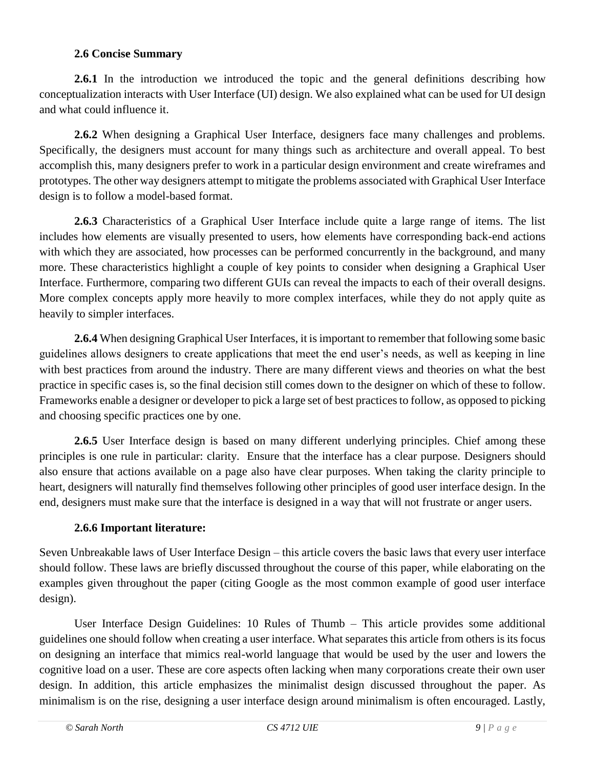#### **2.6 Concise Summary**

**2.6.1** In the introduction we introduced the topic and the general definitions describing how conceptualization interacts with User Interface (UI) design. We also explained what can be used for UI design and what could influence it.

**2.6.2** When designing a Graphical User Interface, designers face many challenges and problems. Specifically, the designers must account for many things such as architecture and overall appeal. To best accomplish this, many designers prefer to work in a particular design environment and create wireframes and prototypes. The other way designers attempt to mitigate the problems associated with Graphical User Interface design is to follow a model-based format.

**2.6.3** Characteristics of a Graphical User Interface include quite a large range of items. The list includes how elements are visually presented to users, how elements have corresponding back-end actions with which they are associated, how processes can be performed concurrently in the background, and many more. These characteristics highlight a couple of key points to consider when designing a Graphical User Interface. Furthermore, comparing two different GUIs can reveal the impacts to each of their overall designs. More complex concepts apply more heavily to more complex interfaces, while they do not apply quite as heavily to simpler interfaces.

**2.6.4** When designing Graphical User Interfaces, it is important to remember that following some basic guidelines allows designers to create applications that meet the end user's needs, as well as keeping in line with best practices from around the industry. There are many different views and theories on what the best practice in specific cases is, so the final decision still comes down to the designer on which of these to follow. Frameworks enable a designer or developer to pick a large set of best practices to follow, as opposed to picking and choosing specific practices one by one.

**2.6.5** User Interface design is based on many different underlying principles. Chief among these principles is one rule in particular: clarity. Ensure that the interface has a clear purpose. Designers should also ensure that actions available on a page also have clear purposes. When taking the clarity principle to heart, designers will naturally find themselves following other principles of good user interface design. In the end, designers must make sure that the interface is designed in a way that will not frustrate or anger users.

#### **2.6.6 Important literature:**

Seven Unbreakable laws of User Interface Design – this article covers the basic laws that every user interface should follow. These laws are briefly discussed throughout the course of this paper, while elaborating on the examples given throughout the paper (citing Google as the most common example of good user interface design).

User Interface Design Guidelines: 10 Rules of Thumb – This article provides some additional guidelines one should follow when creating a user interface. What separates this article from others is its focus on designing an interface that mimics real-world language that would be used by the user and lowers the cognitive load on a user. These are core aspects often lacking when many corporations create their own user design. In addition, this article emphasizes the minimalist design discussed throughout the paper. As minimalism is on the rise, designing a user interface design around minimalism is often encouraged. Lastly,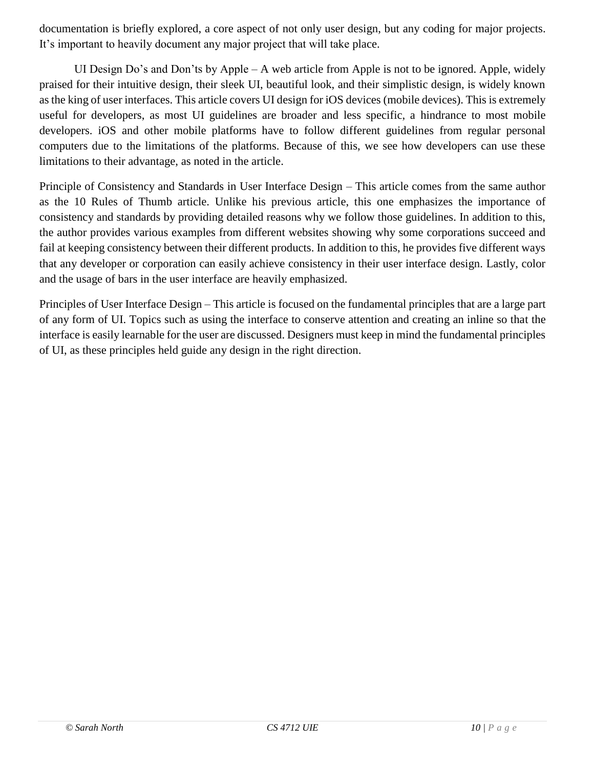documentation is briefly explored, a core aspect of not only user design, but any coding for major projects. It's important to heavily document any major project that will take place.

UI Design Do's and Don'ts by Apple – A web article from Apple is not to be ignored. Apple, widely praised for their intuitive design, their sleek UI, beautiful look, and their simplistic design, is widely known as the king of user interfaces. This article covers UI design for iOS devices (mobile devices). This is extremely useful for developers, as most UI guidelines are broader and less specific, a hindrance to most mobile developers. iOS and other mobile platforms have to follow different guidelines from regular personal computers due to the limitations of the platforms. Because of this, we see how developers can use these limitations to their advantage, as noted in the article.

Principle of Consistency and Standards in User Interface Design – This article comes from the same author as the 10 Rules of Thumb article. Unlike his previous article, this one emphasizes the importance of consistency and standards by providing detailed reasons why we follow those guidelines. In addition to this, the author provides various examples from different websites showing why some corporations succeed and fail at keeping consistency between their different products. In addition to this, he provides five different ways that any developer or corporation can easily achieve consistency in their user interface design. Lastly, color and the usage of bars in the user interface are heavily emphasized.

Principles of User Interface Design – This article is focused on the fundamental principles that are a large part of any form of UI. Topics such as using the interface to conserve attention and creating an inline so that the interface is easily learnable for the user are discussed. Designers must keep in mind the fundamental principles of UI, as these principles held guide any design in the right direction.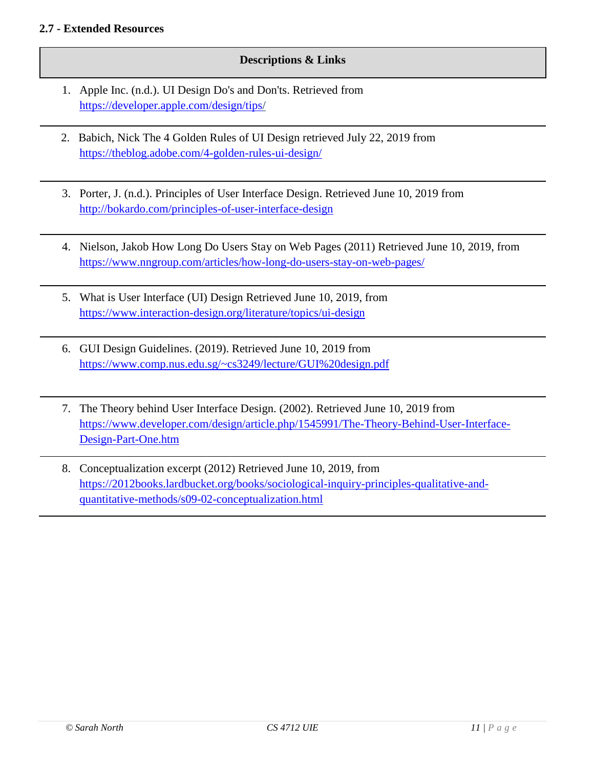#### **2.7 - Extended Resources**

#### **Descriptions & Links**

- 1. Apple Inc. (n.d.). UI Design Do's and Don'ts. Retrieved from <https://developer.apple.com/design/tips/>
- 2. Babich, Nick The 4 Golden Rules of UI Design retrieved July 22, 2019 from <https://theblog.adobe.com/4-golden-rules-ui-design/>
- 3. Porter, J. (n.d.). Principles of User Interface Design. Retrieved June 10, 2019 from <http://bokardo.com/principles-of-user-interface-design>
- 4. Nielson, Jakob How Long Do Users Stay on Web Pages (2011) Retrieved June 10, 2019, from <https://www.nngroup.com/articles/how-long-do-users-stay-on-web-pages/>
- 5. What is User Interface (UI) Design Retrieved June 10, 2019, from <https://www.interaction-design.org/literature/topics/ui-design>
- 6. GUI Design Guidelines. (2019). Retrieved June 10, 2019 from <https://www.comp.nus.edu.sg/~cs3249/lecture/GUI%20design.pdf>
- 7. The Theory behind User Interface Design. (2002). Retrieved June 10, 2019 from [https://www.developer.com/design/article.php/1545991/The-Theory-Behind-User-Interface-](https://www.developer.com/design/article.php/1545991/The-Theory-Behind-User-Interface-Design-Part-One.htm)[Design-Part-One.htm](https://www.developer.com/design/article.php/1545991/The-Theory-Behind-User-Interface-Design-Part-One.htm)
- 8. Conceptualization excerpt (2012) Retrieved June 10, 2019, from [https://2012books.lardbucket.org/books/sociological-inquiry-principles-qualitative-and](https://2012books.lardbucket.org/books/sociological-inquiry-principles-qualitative-and-quantitative-methods/s09-02-conceptualization.html)[quantitative-methods/s09-02-conceptualization.html](https://2012books.lardbucket.org/books/sociological-inquiry-principles-qualitative-and-quantitative-methods/s09-02-conceptualization.html)